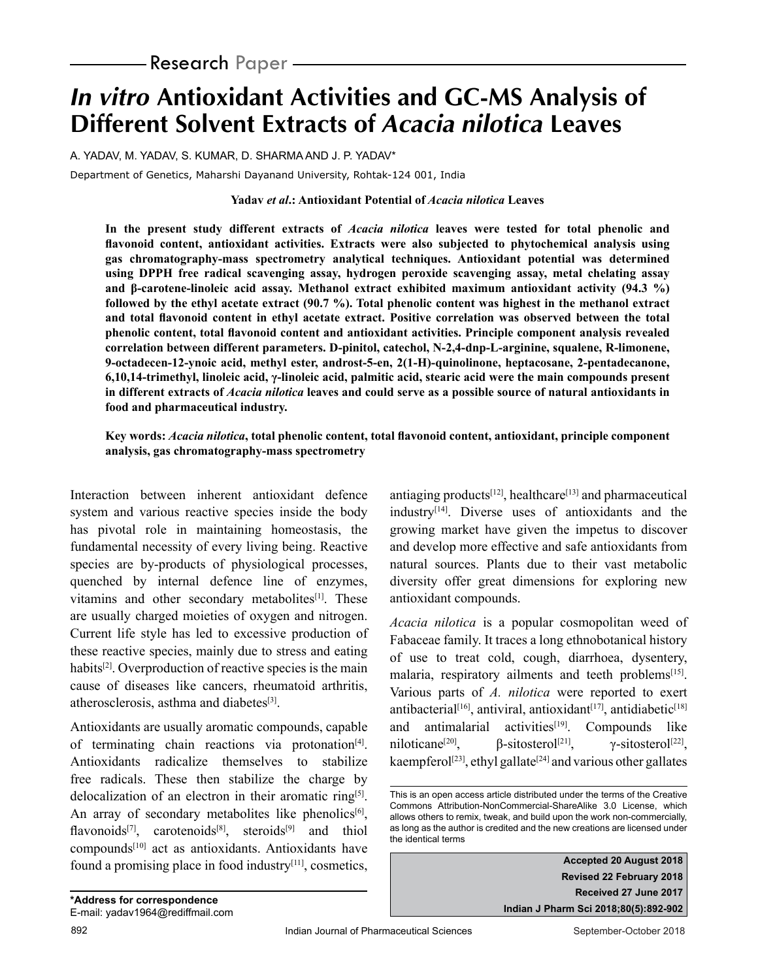# **In vitro Antioxidant Activities and GC-MS Analysis of Different Solvent Extracts of Acacia nilotica Leaves**

A. YADAV, M. YADAV, S. KUMAR, D. SHARMA AND J. P. YADAV\*

Department of Genetics, Maharshi Dayanand University, Rohtak-124 001, India

#### **Yadav** *et al***.: Antioxidant Potential of** *Acacia nilotica* **Leaves**

**In the present study different extracts of** *Acacia nilotica* **leaves were tested for total phenolic and flavonoid content, antioxidant activities. Extracts were also subjected to phytochemical analysis using gas chromatography-mass spectrometry analytical techniques. Antioxidant potential was determined using DPPH free radical scavenging assay, hydrogen peroxide scavenging assay, metal chelating assay and β-carotene-linoleic acid assay. Methanol extract exhibited maximum antioxidant activity (94.3 %) followed by the ethyl acetate extract (90.7 %). Total phenolic content was highest in the methanol extract and total flavonoid content in ethyl acetate extract. Positive correlation was observed between the total phenolic content, total flavonoid content and antioxidant activities. Principle component analysis revealed correlation between different parameters. D-pinitol, catechol, N-2,4-dnp-L-arginine, squalene, R-limonene, 9-octadecen-12-ynoic acid, methyl ester, androst-5-en, 2(1-H)-quinolinone, heptacosane, 2-pentadecanone, 6,10,14-trimethyl, linoleic acid, γ-linoleic acid, palmitic acid, stearic acid were the main compounds present in different extracts of** *Acacia nilotica* **leaves and could serve as a possible source of natural antioxidants in food and pharmaceutical industry.**

### **Key words:** *Acacia nilotica***, total phenolic content, total flavonoid content, antioxidant, principle component analysis, gas chromatography-mass spectrometry**

Interaction between inherent antioxidant defence system and various reactive species inside the body has pivotal role in maintaining homeostasis, the fundamental necessity of every living being. Reactive species are by-products of physiological processes, quenched by internal defence line of enzymes, vitamins and other secondary metabolites<sup>[1]</sup>. These are usually charged moieties of oxygen and nitrogen. Current life style has led to excessive production of these reactive species, mainly due to stress and eating habits<sup>[2]</sup>. Overproduction of reactive species is the main cause of diseases like cancers, rheumatoid arthritis, atherosclerosis, asthma and diabetes $[3]$ .

Antioxidants are usually aromatic compounds, capable of terminating chain reactions via protonation[4]. Antioxidants radicalize themselves to stabilize free radicals. These then stabilize the charge by delocalization of an electron in their aromatic ring<sup>[5]</sup>. An array of secondary metabolites like phenolics<sup>[6]</sup>, flavonoids<sup>[7]</sup>, carotenoids<sup>[8]</sup>, steroids<sup>[9]</sup> and thiol compounds[10] act as antioxidants. Antioxidants have found a promising place in food industry $[11]$ , cosmetics, antiaging products $[12]$ , healthcare $[13]$  and pharmaceutical industry $[14]$ . Diverse uses of antioxidants and the growing market have given the impetus to discover and develop more effective and safe antioxidants from natural sources. Plants due to their vast metabolic diversity offer great dimensions for exploring new antioxidant compounds.

*Acacia nilotica* is a popular cosmopolitan weed of Fabaceae family. It traces a long ethnobotanical history of use to treat cold, cough, diarrhoea, dysentery, malaria, respiratory ailments and teeth problems<sup>[15]</sup>. Various parts of *A. nilotica* were reported to exert antibacterial<sup>[16]</sup>, antiviral, antioxidant<sup>[17]</sup>, antidiabetic<sup>[18]</sup> and antimalarial activities<sup>[19]</sup>. Compounds like niloticane<sup>[20]</sup>, β-sitosterol<sup>[21]</sup>, γ-sitosterol<sup>[22]</sup>, kaempferol<sup>[23]</sup>, ethyl gallate<sup>[24]</sup> and various other gallates

This is an open access article distributed under the terms of the Creative Commons Attribution-NonCommercial-ShareAlike 3.0 License, which allows others to remix, tweak, and build upon the work non-commercially, as long as the author is credited and the new creations are licensed under the identical terms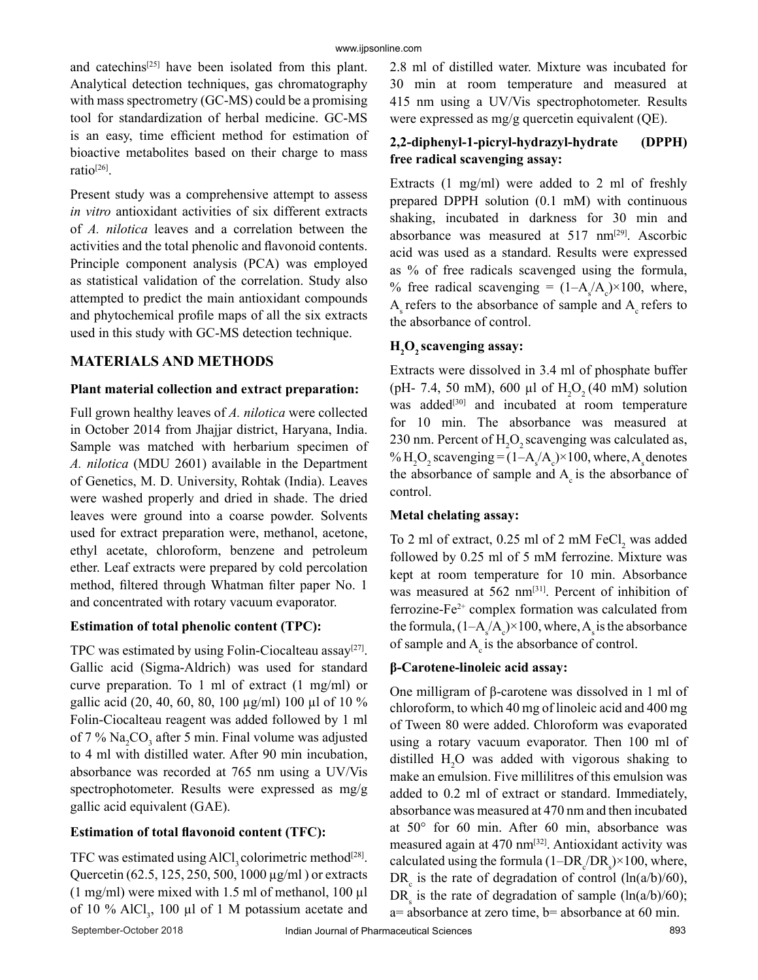and catechins<sup>[25]</sup> have been isolated from this plant. Analytical detection techniques, gas chromatography with mass spectrometry (GC-MS) could be a promising tool for standardization of herbal medicine. GC-MS is an easy, time efficient method for estimation of bioactive metabolites based on their charge to mass ratio[26].

Present study was a comprehensive attempt to assess *in vitro* antioxidant activities of six different extracts of *A. nilotica* leaves and a correlation between the activities and the total phenolic and flavonoid contents. Principle component analysis (PCA) was employed as statistical validation of the correlation. Study also attempted to predict the main antioxidant compounds and phytochemical profile maps of all the six extracts used in this study with GC-MS detection technique.

# **MATERIALS AND METHODS**

#### **Plant material collection and extract preparation:**

Full grown healthy leaves of *A. nilotica* were collected in October 2014 from Jhajjar district, Haryana, India. Sample was matched with herbarium specimen of *A. nilotica* (MDU 2601) available in the Department of Genetics, M. D. University, Rohtak (India). Leaves were washed properly and dried in shade. The dried leaves were ground into a coarse powder. Solvents used for extract preparation were, methanol, acetone, ethyl acetate, chloroform, benzene and petroleum ether. Leaf extracts were prepared by cold percolation method, filtered through Whatman filter paper No. 1 and concentrated with rotary vacuum evaporator.

#### **Estimation of total phenolic content (TPC):**

TPC was estimated by using Folin-Ciocalteau assay<sup>[27]</sup>. Gallic acid (Sigma-Aldrich) was used for standard curve preparation. To 1 ml of extract (1 mg/ml) or gallic acid (20, 40, 60, 80, 100 µg/ml) 100 µl of 10 % Folin-Ciocalteau reagent was added followed by 1 ml of 7 %  $\text{Na}_2\text{CO}_3$  after 5 min. Final volume was adjusted to 4 ml with distilled water. After 90 min incubation, absorbance was recorded at 765 nm using a UV/Vis spectrophotometer. Results were expressed as mg/g gallic acid equivalent (GAE).

## **Estimation of total flavonoid content (TFC):**

TFC was estimated using AlCl<sub>2</sub> colorimetric method<sup>[28]</sup>. Quercetin (62.5, 125, 250, 500, 1000 µg/ml ) or extracts (1 mg/ml) were mixed with 1.5 ml of methanol, 100 µl of 10 %  $AICI_3$ , 100 µl of 1 M potassium acetate and 2.8 ml of distilled water. Mixture was incubated for 30 min at room temperature and measured at 415 nm using a UV/Vis spectrophotometer. Results were expressed as mg/g quercetin equivalent (QE).

# **2,2-diphenyl-1-picryl-hydrazyl-hydrate (DPPH) free radical scavenging assay:**

Extracts (1 mg/ml) were added to 2 ml of freshly prepared DPPH solution (0.1 mM) with continuous shaking, incubated in darkness for 30 min and absorbance was measured at 517 nm[29]. Ascorbic acid was used as a standard. Results were expressed as % of free radicals scavenged using the formula, % free radical scavenging =  $(1-A_s/A_c) \times 100$ , where,  $A<sub>s</sub>$  refers to the absorbance of sample and  $A<sub>s</sub>$  refers to the absorbance of control.

# **H2 O2 scavenging assay:**

Extracts were dissolved in 3.4 ml of phosphate buffer (pH- 7.4, 50 mM), 600 µl of  $H_2O_2(40 \text{ mM})$  solution was added<sup>[30]</sup> and incubated at room temperature for 10 min. The absorbance was measured at 230 nm. Percent of  $H_2O_2$  scavenging was calculated as, %  $H_2O_2$  scavenging =  $(1-A_s/A_c) \times 100$ , where, A<sub>s</sub> denotes the absorbance of sample and  $A_c$  is the absorbance of control.

#### **Metal chelating assay:**

To 2 ml of extract,  $0.25$  ml of 2 mM FeCl<sub>2</sub> was added followed by 0.25 ml of 5 mM ferrozine. Mixture was kept at room temperature for 10 min. Absorbance was measured at 562 nm<sup>[31]</sup>. Percent of inhibition of ferrozine-Fe2+ complex formation was calculated from the formula,  $(1-A_s/A_c) \times 100$ , where,  $A_s$  is the absorbance of sample and  $A<sub>c</sub>$  is the absorbance of control.

## **β-Carotene-linoleic acid assay:**

One milligram of β-carotene was dissolved in 1 ml of chloroform, to which 40 mg of linoleic acid and 400 mg of Tween 80 were added. Chloroform was evaporated using a rotary vacuum evaporator. Then 100 ml of distilled  $H_2O$  was added with vigorous shaking to make an emulsion. Five millilitres of this emulsion was added to 0.2 ml of extract or standard. Immediately, absorbance was measured at 470 nm and then incubated at 50° for 60 min. After 60 min, absorbance was measured again at 470 nm[32]. Antioxidant activity was calculated using the formula  $(1-DR_c/DR_s) \times 100$ , where, DR<sub>c</sub> is the rate of degradation of control  $(ln(a/b)/60)$ , DR<sub>s</sub> is the rate of degradation of sample  $(ln(a/b)/60)$ ; a= absorbance at zero time, b= absorbance at 60 min.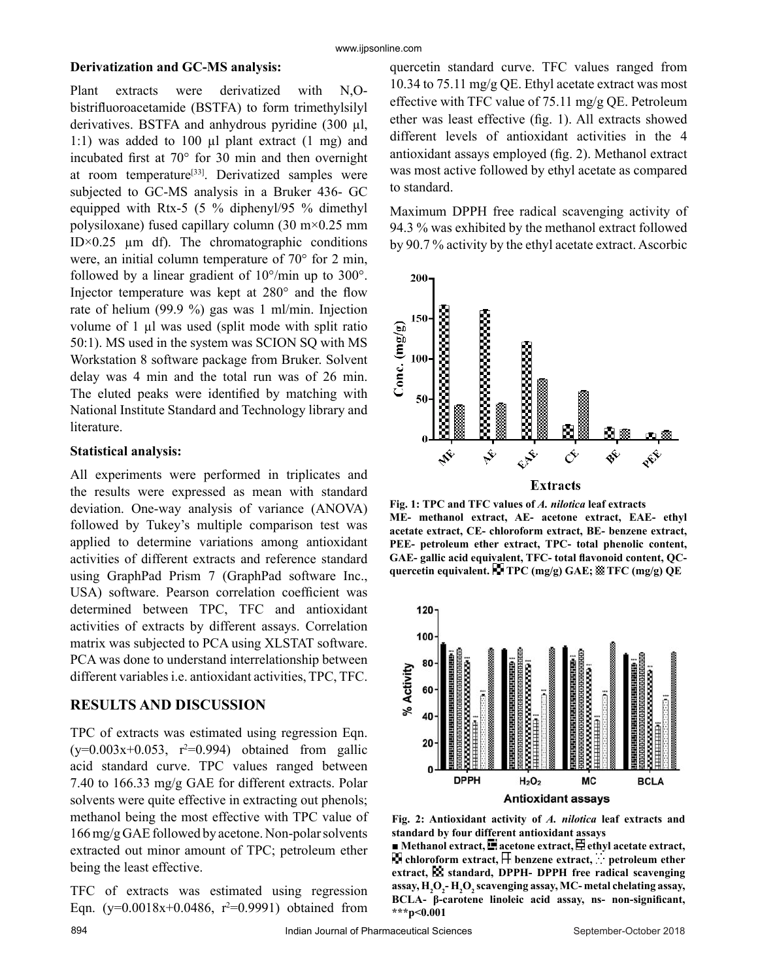## **Derivatization and GC-MS analysis:**

Plant extracts were derivatized with N,Obistrifluoroacetamide (BSTFA) to form trimethylsilyl derivatives. BSTFA and anhydrous pyridine (300 µl, 1:1) was added to 100 µl plant extract (1 mg) and incubated first at 70° for 30 min and then overnight at room temperature<sup>[33]</sup>. Derivatized samples were subjected to GC-MS analysis in a Bruker 436- GC equipped with Rtx-5 (5 % diphenyl/95 % dimethyl polysiloxane) fused capillary column (30 m×0.25 mm ID $\times$ 0.25 µm df). The chromatographic conditions were, an initial column temperature of 70° for 2 min, followed by a linear gradient of 10°/min up to 300°. Injector temperature was kept at 280° and the flow rate of helium (99.9 %) gas was 1 ml/min. Injection volume of 1 µl was used (split mode with split ratio 50:1). MS used in the system was SCION SQ with MS Workstation 8 software package from Bruker. Solvent delay was 4 min and the total run was of 26 min. The eluted peaks were identified by matching with National Institute Standard and Technology library and literature.

#### **Statistical analysis:**

All experiments were performed in triplicates and the results were expressed as mean with standard deviation. One-way analysis of variance (ANOVA) followed by Tukey's multiple comparison test was applied to determine variations among antioxidant activities of different extracts and reference standard using GraphPad Prism 7 (GraphPad software Inc., USA) software. Pearson correlation coefficient was determined between TPC, TFC and antioxidant activities of extracts by different assays. Correlation matrix was subjected to PCA using XLSTAT software. PCA was done to understand interrelationship between different variables i.e. antioxidant activities, TPC, TFC.

# **RESULTS AND DISCUSSION**

TPC of extracts was estimated using regression Eqn.  $(y=0.003x+0.053, r^2=0.994)$  obtained from gallic acid standard curve. TPC values ranged between 7.40 to 166.33 mg/g GAE for different extracts. Polar solvents were quite effective in extracting out phenols; methanol being the most effective with TPC value of 166 mg/g GAE followed by acetone. Non-polar solvents extracted out minor amount of TPC; petroleum ether being the least effective.

TFC of extracts was estimated using regression Eqn.  $(y=0.0018x+0.0486, r^2=0.9991)$  obtained from quercetin standard curve. TFC values ranged from 10.34 to 75.11 mg/g QE. Ethyl acetate extract was most effective with TFC value of 75.11 mg/g QE. Petroleum ether was least effective (fig. 1). All extracts showed different levels of antioxidant activities in the 4 antioxidant assays employed (fig. 2). Methanol extract was most active followed by ethyl acetate as compared to standard.

Maximum DPPH free radical scavenging activity of 94.3 % was exhibited by the methanol extract followed by 90.7 % activity by the ethyl acetate extract. Ascorbic



**Fig. 1: TPC and TFC values of** *A. nilotica* **leaf extracts ME- methanol extract, AE- acetone extract, EAE- ethyl acetate extract, CE- chloroform extract, BE- benzene extract, PEE- petroleum ether extract, TPC- total phenolic content, GAE- gallic acid equivalent, TFC- total flavonoid content, QCquercetin equivalent. TPC (mg/g) GAE; TFC (mg/g) QE**



**Fig. 2: Antioxidant activity of** *A. nilotica* **leaf extracts and standard by four different antioxidant assays**

 $\blacksquare$  **Methanol extract,**  $\blacksquare$  **acetone extract,**  $\Xi$  **ethyl acetate extract, Example 1** chloroform extract,  $\Box$  benzene extract,  $\Box$  petroleum ether extract, **SS** standard, DPPH- DPPH free radical scavenging **assay, H2 O2 - H2 O2 scavenging assay, MC- metal chelating assay, BCLA- β-carotene linoleic acid assay, ns- non-significant, \*\*\*p<0.001**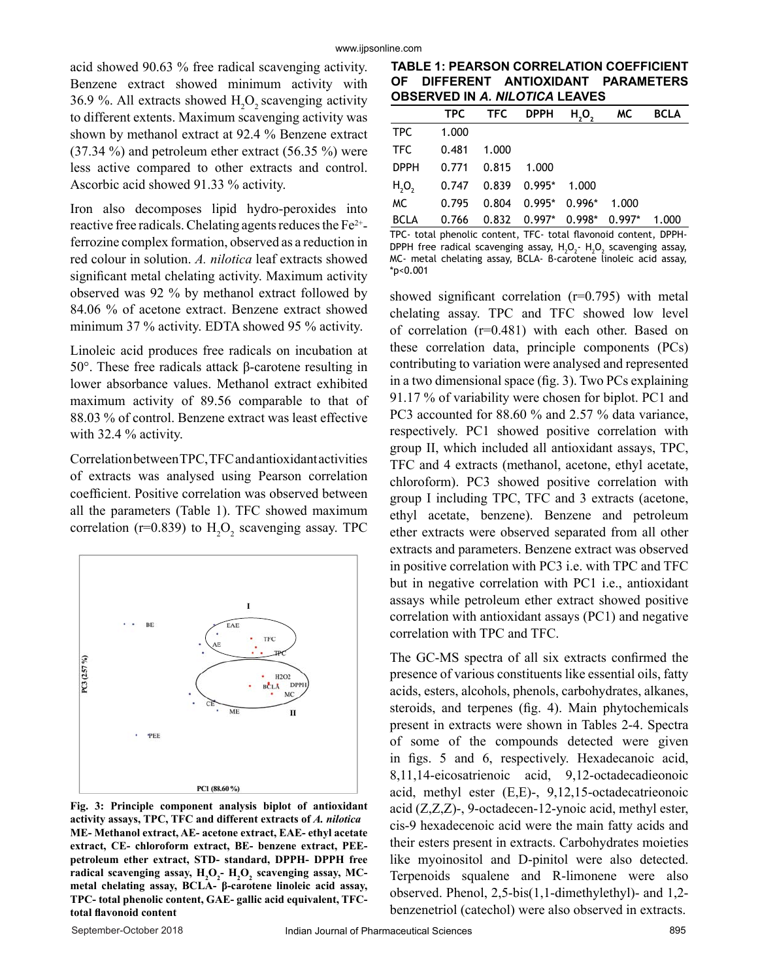acid showed 90.63 % free radical scavenging activity. Benzene extract showed minimum activity with 36.9 %. All extracts showed  $H_2O_2$  scavenging activity to different extents. Maximum scavenging activity was shown by methanol extract at 92.4 % Benzene extract (37.34 %) and petroleum ether extract (56.35 %) were less active compared to other extracts and control. Ascorbic acid showed 91.33 % activity.

Iron also decomposes lipid hydro-peroxides into reactive free radicals. Chelating agents reduces the Fe2+ ferrozine complex formation, observed as a reduction in red colour in solution. *A. nilotica* leaf extracts showed significant metal chelating activity. Maximum activity observed was 92 % by methanol extract followed by 84.06 % of acetone extract. Benzene extract showed minimum 37 % activity. EDTA showed 95 % activity.

Linoleic acid produces free radicals on incubation at 50°. These free radicals attack β-carotene resulting in lower absorbance values. Methanol extract exhibited maximum activity of 89.56 comparable to that of 88.03 % of control. Benzene extract was least effective with 32.4 % activity.

Correlation between TPC, TFC and antioxidant activities of extracts was analysed using Pearson correlation coefficient. Positive correlation was observed between all the parameters (Table 1). TFC showed maximum correlation (r=0.839) to  $H_2O_2$  scavenging assay. TPC



**Fig. 3: Principle component analysis biplot of antioxidant activity assays, TPC, TFC and different extracts of** *A. nilotica* **ME- Methanol extract, AE- acetone extract, EAE- ethyl acetate extract, CE- chloroform extract, BE- benzene extract, PEEpetroleum ether extract, STD- standard, DPPH- DPPH free**  radical scavenging assay,  $\text{H}_{2}\text{O}_{2}$ -  $\text{H}_{2}\text{O}_{2}$  scavenging assay, MC**metal chelating assay, BCLA- β-carotene linoleic acid assay, TPC- total phenolic content, GAE- gallic acid equivalent, TFCtotal flavonoid content**

**TABLE 1: PEARSON CORRELATION COEFFICIENT OF DIFFERENT ANTIOXIDANT PARAMETERS OBSERVED IN** *A. NILOTICA* **LEAVES**

|           |                                                        |  | TPC TFC DPPH H <sub>2</sub> O <sub>2</sub> MC BCLA |  |
|-----------|--------------------------------------------------------|--|----------------------------------------------------|--|
| TPC 1.000 |                                                        |  |                                                    |  |
|           | TFC   0.481   1.000                                    |  |                                                    |  |
|           | DPPH 0.771 0.815 1.000                                 |  |                                                    |  |
|           | H <sub>2</sub> O <sub>2</sub> 0.747 0.839 0.995* 1.000 |  |                                                    |  |
|           | MC 0.795 0.804 0.995* 0.996* 1.000                     |  |                                                    |  |
|           | BCLA 0.766 0.832 0.997* 0.998* 0.997* 1.000            |  |                                                    |  |

TPC- total phenolic content, TFC- total flavonoid content, DPPH-DPPH free radical scavenging assay,  $H_2O_2$ -  $H_2O_2$  scavenging assay, MC- metal chelating assay, BCLA- β-carotene linoleic acid assay, \*p<0.001

showed significant correlation (r=0.795) with metal chelating assay. TPC and TFC showed low level of correlation (r=0.481) with each other. Based on these correlation data, principle components (PCs) contributing to variation were analysed and represented in a two dimensional space (fig. 3). Two PCs explaining 91.17 % of variability were chosen for biplot. PC1 and PC3 accounted for 88.60 % and 2.57 % data variance, respectively. PC1 showed positive correlation with group II, which included all antioxidant assays, TPC, TFC and 4 extracts (methanol, acetone, ethyl acetate, chloroform). PC3 showed positive correlation with group I including TPC, TFC and 3 extracts (acetone, ethyl acetate, benzene). Benzene and petroleum ether extracts were observed separated from all other extracts and parameters. Benzene extract was observed in positive correlation with PC3 i.e. with TPC and TFC but in negative correlation with PC1 i.e., antioxidant assays while petroleum ether extract showed positive correlation with antioxidant assays (PC1) and negative correlation with TPC and TFC.

The GC-MS spectra of all six extracts confirmed the presence of various constituents like essential oils, fatty acids, esters, alcohols, phenols, carbohydrates, alkanes, steroids, and terpenes (fig. 4). Main phytochemicals present in extracts were shown in Tables 2-4. Spectra of some of the compounds detected were given in figs. 5 and 6, respectively. Hexadecanoic acid, 8,11,14-eicosatrienoic acid, 9,12-octadecadieonoic acid, methyl ester (E,E)-, 9,12,15-octadecatrieonoic acid (Z,Z,Z)-, 9-octadecen-12-ynoic acid, methyl ester, cis-9 hexadecenoic acid were the main fatty acids and their esters present in extracts. Carbohydrates moieties like myoinositol and D-pinitol were also detected. Terpenoids squalene and R-limonene were also observed. Phenol, 2,5-bis(1,1-dimethylethyl)- and 1,2 benzenetriol (catechol) were also observed in extracts.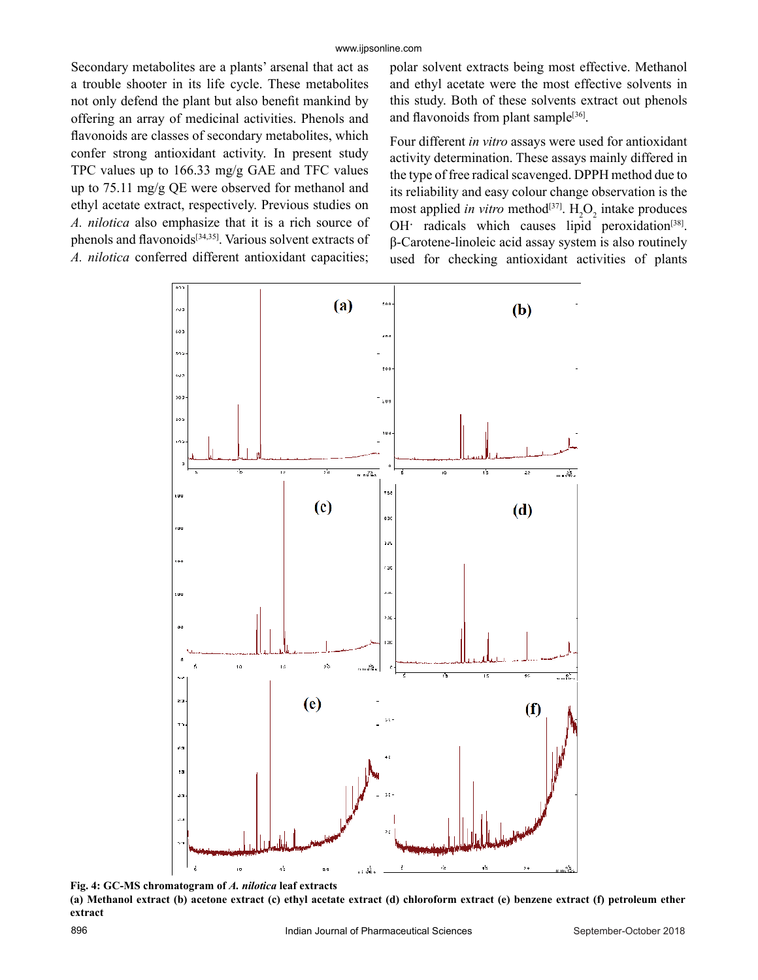Secondary metabolites are a plants' arsenal that act as a trouble shooter in its life cycle. These metabolites not only defend the plant but also benefit mankind by offering an array of medicinal activities. Phenols and flavonoids are classes of secondary metabolites, which confer strong antioxidant activity. In present study TPC values up to 166.33 mg/g GAE and TFC values up to 75.11 mg/g QE were observed for methanol and ethyl acetate extract, respectively. Previous studies on *A. nilotica* also emphasize that it is a rich source of phenols and flavonoids[34,35]. Various solvent extracts of *A. nilotica* conferred different antioxidant capacities;

polar solvent extracts being most effective. Methanol and ethyl acetate were the most effective solvents in this study. Both of these solvents extract out phenols and flavonoids from plant sample $[36]$ .

Four different *in vitro* assays were used for antioxidant activity determination. These assays mainly differed in the type of free radical scavenged. DPPH method due to its reliability and easy colour change observation is the most applied *in vitro* method<sup>[37]</sup>.  $H_2O_2$  intake produces OH· radicals which causes lipid peroxidation<sup>[38]</sup>. β-Carotene-linoleic acid assay system is also routinely used for checking antioxidant activities of plants



**Fig. 4: GC-MS chromatogram of** *A. nilotica* **leaf extracts (a) Methanol extract (b) acetone extract (c) ethyl acetate extract (d) chloroform extract (e) benzene extract (f) petroleum ether extract**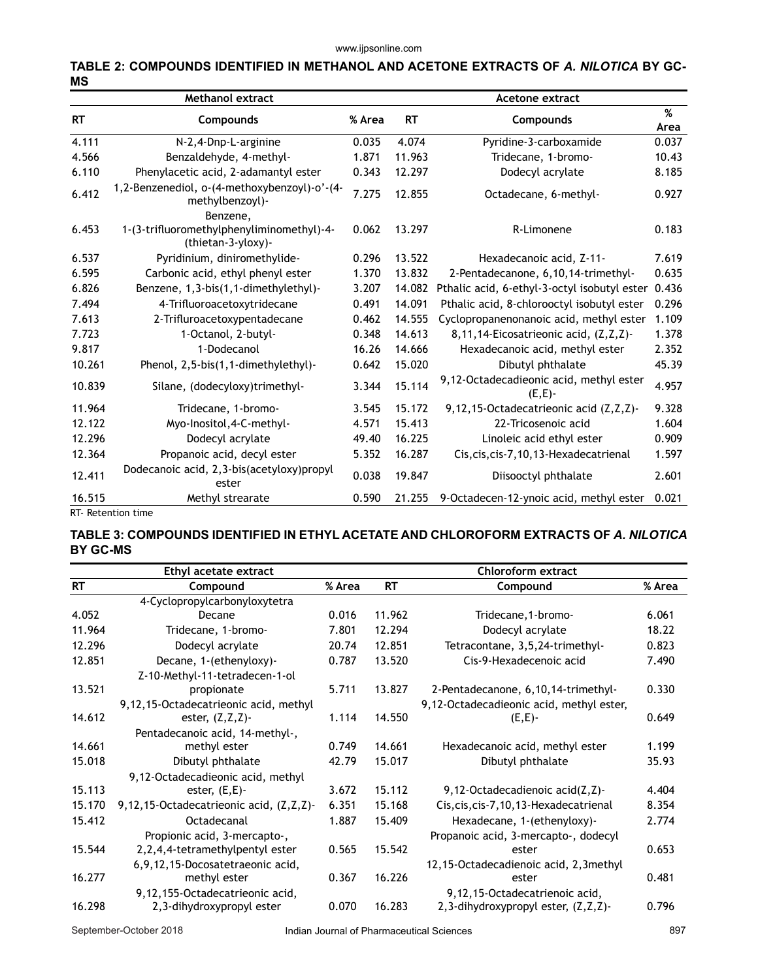#### **TABLE 2: COMPOUNDS IDENTIFIED IN METHANOL AND ACETONE EXTRACTS OF** *A. NILOTICA* **BY GC-MS**

| <b>Methanol extract</b> |                                                                             |       |           | <b>Acetone extract</b>                           |       |  |  |
|-------------------------|-----------------------------------------------------------------------------|-------|-----------|--------------------------------------------------|-------|--|--|
| <b>RT</b>               | Compounds                                                                   |       | <b>RT</b> | <b>Compounds</b>                                 |       |  |  |
| 4.111                   | N-2,4-Dnp-L-arginine                                                        | 0.035 | 4.074     | Pyridine-3-carboxamide                           | 0.037 |  |  |
| 4.566                   | Benzaldehyde, 4-methyl-                                                     | 1.871 | 11.963    | Tridecane, 1-bromo-                              | 10.43 |  |  |
| 6.110                   | Phenylacetic acid, 2-adamantyl ester                                        | 0.343 | 12.297    | Dodecyl acrylate                                 | 8.185 |  |  |
| 6.412                   | 1,2-Benzenediol, o-(4-methoxybenzoyl)-o'-(4-<br>methylbenzoyl)-<br>Benzene, | 7.275 | 12.855    | Octadecane, 6-methyl-                            | 0.927 |  |  |
| 6.453                   | 1-(3-trifluoromethylphenyliminomethyl)-4-<br>(thietan-3-yloxy)-             | 0.062 | 13.297    | R-Limonene                                       | 0.183 |  |  |
| 6.537                   | Pyridinium, diniromethylide-                                                | 0.296 | 13.522    | Hexadecanoic acid, Z-11-                         | 7.619 |  |  |
| 6.595                   | Carbonic acid, ethyl phenyl ester                                           | 1.370 | 13.832    | 2-Pentadecanone, 6,10,14-trimethyl-              | 0.635 |  |  |
| 6.826                   | Benzene, 1,3-bis(1,1-dimethylethyl)-                                        | 3.207 | 14.082    | Pthalic acid, 6-ethyl-3-octyl isobutyl ester     | 0.436 |  |  |
| 7.494                   | 4-Trifluoroacetoxytridecane                                                 | 0.491 | 14.091    | Pthalic acid, 8-chlorooctyl isobutyl ester       | 0.296 |  |  |
| 7.613                   | 2-Trifluroacetoxypentadecane                                                | 0.462 | 14.555    | Cyclopropanenonanoic acid, methyl ester          | 1.109 |  |  |
| 7.723                   | 1-Octanol, 2-butyl-                                                         | 0.348 | 14.613    | 8,11,14-Eicosatrieonic acid, (Z,Z,Z)-            | 1.378 |  |  |
| 9.817                   | 1-Dodecanol                                                                 | 16.26 | 14.666    | Hexadecanoic acid, methyl ester                  | 2.352 |  |  |
| 10.261                  | Phenol, 2,5-bis(1,1-dimethylethyl)-                                         | 0.642 | 15.020    | Dibutyl phthalate                                | 45.39 |  |  |
| 10.839                  | Silane, (dodecyloxy)trimethyl-                                              | 3.344 | 15.114    | 9,12-Octadecadieonic acid, methyl ester<br>(E,E) | 4.957 |  |  |
| 11.964                  | Tridecane, 1-bromo-                                                         | 3.545 | 15.172    | 9,12,15-Octadecatrieonic acid (Z,Z,Z)-           | 9.328 |  |  |
| 12.122                  | Myo-Inositol, 4-C-methyl-                                                   | 4.571 | 15.413    | 22-Tricosenoic acid                              | 1.604 |  |  |
| 12.296                  | Dodecyl acrylate                                                            | 49.40 | 16.225    | Linoleic acid ethyl ester                        | 0.909 |  |  |
| 12.364                  | Propanoic acid, decyl ester                                                 | 5.352 | 16.287    | Cis, cis, cis-7, 10, 13-Hexadecatrienal          | 1.597 |  |  |
| 12.411                  | Dodecanoic acid, 2,3-bis(acetyloxy)propyl<br>ester                          | 0.038 | 19.847    | Diisooctyl phthalate                             | 2.601 |  |  |
| 16.515                  | Methyl strearate                                                            | 0.590 | 21.255    | 9-Octadecen-12-ynoic acid, methyl ester          | 0.021 |  |  |

RT- Retention time

## **TABLE 3: COMPOUNDS IDENTIFIED IN ETHYL ACETATE AND CHLOROFORM EXTRACTS OF** *A. NILOTICA* **BY GC-MS**

| Ethyl acetate extract |                                         |        | Chloroform extract |                                          |        |  |
|-----------------------|-----------------------------------------|--------|--------------------|------------------------------------------|--------|--|
| <b>RT</b>             | Compound                                | % Area | <b>RT</b>          | Compound                                 | % Area |  |
|                       | 4-Cyclopropylcarbonyloxytetra           |        |                    |                                          |        |  |
| 4.052                 | Decane                                  | 0.016  | 11.962             | Tridecane, 1-bromo-                      | 6.061  |  |
| 11.964                | Tridecane, 1-bromo-                     | 7.801  | 12.294             | Dodecyl acrylate                         | 18.22  |  |
| 12.296                | Dodecyl acrylate                        | 20.74  | 12.851             | Tetracontane, 3,5,24-trimethyl-          | 0.823  |  |
| 12.851                | Decane, 1-(ethenyloxy)-                 | 0.787  | 13.520             | Cis-9-Hexadecenoic acid                  | 7.490  |  |
|                       | Z-10-Methyl-11-tetradecen-1-ol          |        |                    |                                          |        |  |
| 13.521                | propionate                              | 5.711  | 13.827             | 2-Pentadecanone, 6, 10, 14-trimethyl-    | 0.330  |  |
|                       | 9,12,15-Octadecatrieonic acid, methyl   |        |                    | 9,12-Octadecadieonic acid, methyl ester, |        |  |
| 14.612                | ester, $(Z, Z, Z)$ -                    | 1.114  | 14.550             | (E,E)                                    | 0.649  |  |
|                       | Pentadecanoic acid, 14-methyl-,         |        |                    |                                          |        |  |
| 14.661                | methyl ester                            | 0.749  | 14.661             | Hexadecanoic acid, methyl ester          | 1.199  |  |
| 15.018                | Dibutyl phthalate                       | 42.79  | 15.017             | Dibutyl phthalate                        | 35.93  |  |
|                       | 9,12-Octadecadieonic acid, methyl       |        |                    |                                          |        |  |
| 15.113                | ester, $(E, E)$ -                       | 3.672  | 15.112             | 9,12-Octadecadienoic acid(Z,Z)-          | 4.404  |  |
| 15.170                | 9,12,15-Octadecatrieonic acid, (Z,Z,Z)- | 6.351  | 15.168             | Cis, cis, cis-7, 10, 13-Hexadecatrienal  | 8.354  |  |
| 15.412                | Octadecanal                             | 1.887  | 15.409             | Hexadecane, 1-(ethenyloxy)-              | 2.774  |  |
|                       | Propionic acid, 3-mercapto-,            |        |                    | Propanoic acid, 3-mercapto-, dodecyl     |        |  |
| 15.544                | 2,2,4,4-tetramethylpentyl ester         | 0.565  | 15.542             | ester                                    | 0.653  |  |
|                       | 6,9,12,15-Docosatetraeonic acid,        |        |                    | 12,15-Octadecadienoic acid, 2,3methyl    |        |  |
| 16.277                | methyl ester                            | 0.367  | 16.226             | ester                                    | 0.481  |  |
|                       | 9,12,155-Octadecatrieonic acid,         |        |                    | 9,12,15-Octadecatrienoic acid,           |        |  |
| 16.298                | 2,3-dihydroxypropyl ester               | 0.070  | 16.283             | 2,3-dihydroxypropyl ester, (Z,Z,Z)-      | 0.796  |  |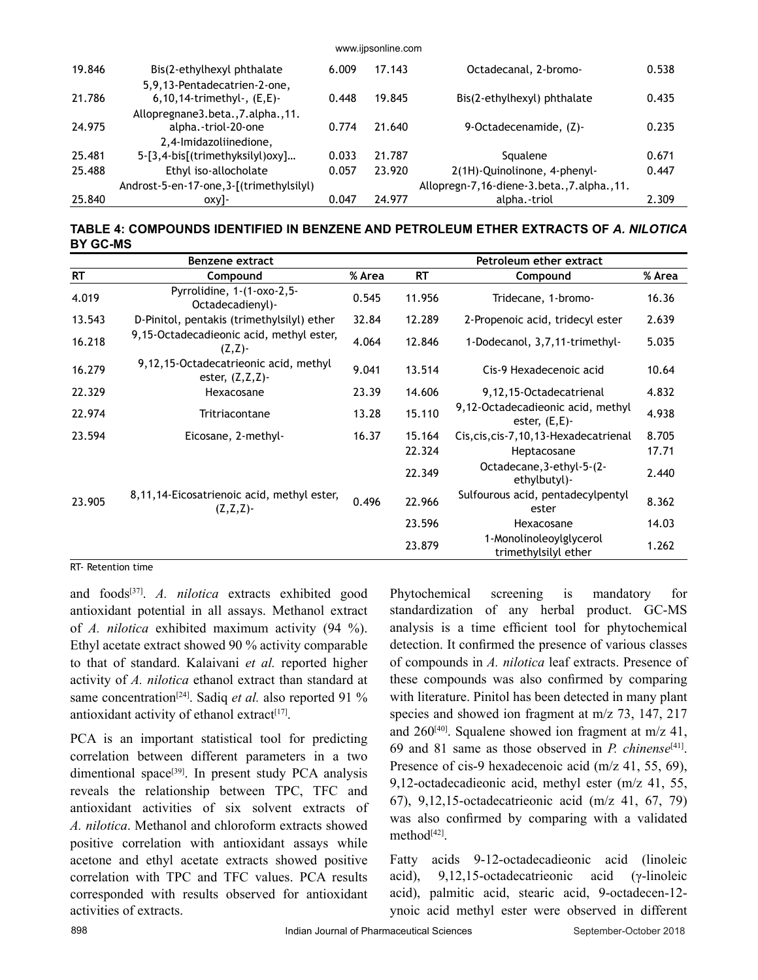| 19.846 | Bis(2-ethylhexyl phthalate                                       | 6.009 | 17.143 | Octadecanal, 2-bromo-                     | 0.538 |
|--------|------------------------------------------------------------------|-------|--------|-------------------------------------------|-------|
| 21.786 | 5,9,13-Pentadecatrien-2-one,<br>6, 10, 14-trimethyl-, $(E, E)$ - | 0.448 | 19.845 | Bis(2-ethylhexyl) phthalate               | 0.435 |
|        | Allopregnane3.beta., 7.alpha., 11.                               |       |        |                                           |       |
| 24.975 | alpha.-triol-20-one                                              | 0.774 | 21.640 | 9-Octadecenamide, (Z)-                    | 0.235 |
|        | 2,4-Imidazoliinedione,                                           |       |        |                                           |       |
| 25.481 | 5-[3,4-bis[(trimethyksilyl)oxy]                                  | 0.033 | 21.787 | Squalene                                  | 0.671 |
| 25.488 | Ethyl iso-allocholate                                            | 0.057 | 23.920 | 2(1H)-Quinolinone, 4-phenyl-              | 0.447 |
|        | Androst-5-en-17-one, 3-[(trimethylsilyl)                         |       |        | Allopregn-7,16-diene-3.beta.,7.alpha.,11. |       |
| 25.840 | oxy]-                                                            | 0.047 | 24.977 | alpha.-triol                              | 2.309 |

www.ijpsonline.com

### **TABLE 4: COMPOUNDS IDENTIFIED IN BENZENE AND PETROLEUM ETHER EXTRACTS OF** *A. NILOTICA* **BY GC-MS**

| Benzene extract |                                                               |        |           | Petroleum ether extract                                |        |  |  |
|-----------------|---------------------------------------------------------------|--------|-----------|--------------------------------------------------------|--------|--|--|
| <b>RT</b>       | Compound                                                      | % Area | <b>RT</b> | Compound                                               | % Area |  |  |
| 4.019           | Pyrrolidine, 1-(1-oxo-2,5-<br>Octadecadienyl)-                | 0.545  | 11.956    | Tridecane, 1-bromo-                                    | 16.36  |  |  |
| 13.543          | D-Pinitol, pentakis (trimethylsilyl) ether                    | 32.84  | 12.289    | 2-Propenoic acid, tridecyl ester                       | 2.639  |  |  |
| 16.218          | 9,15-Octadecadieonic acid, methyl ester,<br>$(Z,Z)$ -         | 4.064  | 12.846    | 1-Dodecanol, 3,7,11-trimethyl-                         | 5.035  |  |  |
| 16.279          | 9,12,15-Octadecatrieonic acid, methyl<br>ester, $(Z, Z, Z)$ - | 9.041  | 13.514    | Cis-9 Hexadecenoic acid                                | 10.64  |  |  |
| 22.329          | Hexacosane                                                    | 23.39  | 14.606    | 9,12,15-Octadecatrienal                                | 4.832  |  |  |
| 22.974          | Tritriacontane                                                | 13.28  | 15.110    | 9,12-Octadecadieonic acid, methyl<br>ester, $(E, E)$ - | 4.938  |  |  |
| 23.594          | Eicosane, 2-methyl-                                           | 16.37  | 15.164    | Cis, cis, cis-7, 10, 13-Hexadecatrienal                | 8.705  |  |  |
|                 |                                                               |        | 22.324    | Heptacosane                                            | 17.71  |  |  |
|                 |                                                               |        | 22.349    | Octadecane, 3-ethyl-5-(2-<br>ethylbutyl)-              | 2.440  |  |  |
| 23.905          | 8,11,14-Eicosatrienoic acid, methyl ester,<br>(Z,Z,Z)         | 0.496  | 22.966    | Sulfourous acid, pentadecylpentyl<br>ester             | 8.362  |  |  |
|                 |                                                               |        | 23.596    | Hexacosane                                             | 14.03  |  |  |
|                 |                                                               |        | 23.879    | 1-Monolinoleoylglycerol<br>trimethylsilyl ether        | 1.262  |  |  |

RT- Retention time

and foods[37]. *A. nilotica* extracts exhibited good antioxidant potential in all assays. Methanol extract of *A. nilotica* exhibited maximum activity (94 %). Ethyl acetate extract showed 90 % activity comparable to that of standard. Kalaivani *et al.* reported higher activity of *A. nilotica* ethanol extract than standard at same concentration<sup>[24]</sup>. Sadiq *et al.* also reported 91 % antioxidant activity of ethanol extract $[17]$ .

PCA is an important statistical tool for predicting correlation between different parameters in a two dimentional space<sup>[39]</sup>. In present study PCA analysis reveals the relationship between TPC, TFC and antioxidant activities of six solvent extracts of *A. nilotica*. Methanol and chloroform extracts showed positive correlation with antioxidant assays while acetone and ethyl acetate extracts showed positive correlation with TPC and TFC values. PCA results corresponded with results observed for antioxidant activities of extracts.

Phytochemical screening is mandatory for standardization of any herbal product. GC-MS analysis is a time efficient tool for phytochemical detection. It confirmed the presence of various classes of compounds in *A. nilotica* leaf extracts. Presence of these compounds was also confirmed by comparing with literature. Pinitol has been detected in many plant species and showed ion fragment at m/z 73, 147, 217 and  $260^{[40]}$ . Squalene showed ion fragment at m/z 41, 69 and 81 same as those observed in *P. chinense*[41]. Presence of cis-9 hexadecenoic acid (m/z 41, 55, 69), 9,12-octadecadieonic acid, methyl ester (m/z 41, 55, 67), 9,12,15-octadecatrieonic acid (m/z 41, 67, 79) was also confirmed by comparing with a validated method<sup>[42]</sup>.

Fatty acids 9-12-octadecadieonic acid (linoleic acid), 9,12,15-octadecatrieonic acid (γ-linoleic acid), palmitic acid, stearic acid, 9-octadecen-12 ynoic acid methyl ester were observed in different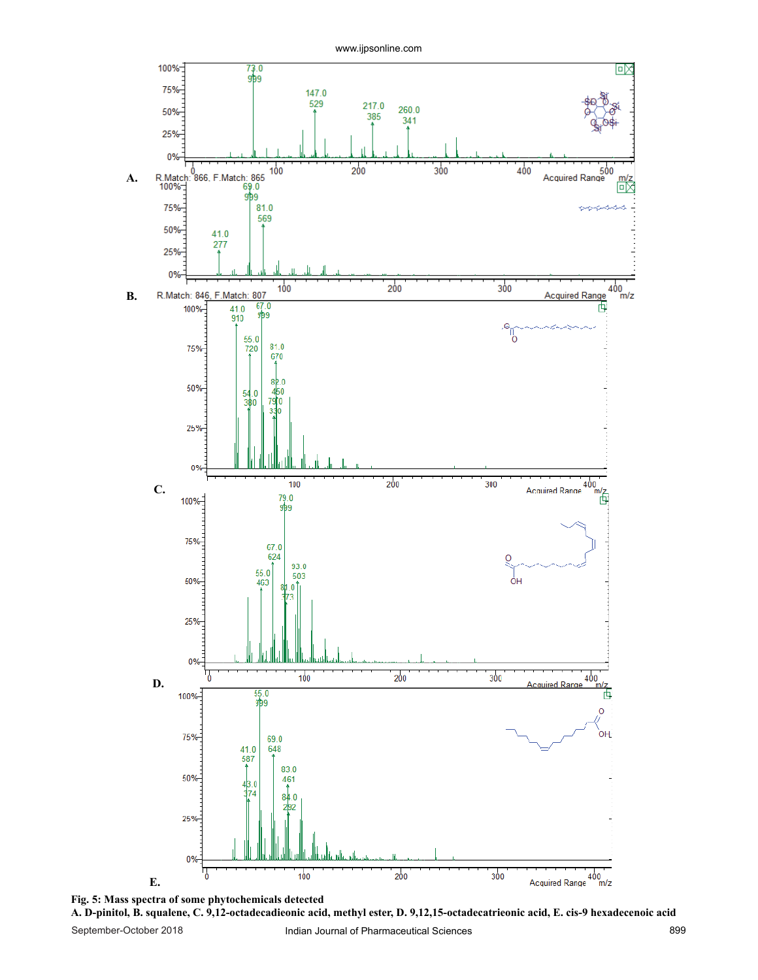



September-October 2018 Indian Journal of Pharmaceutical Sciences 899 **A. D-pinitol, B. squalene, C. 9,12-octadecadieonic acid, methyl ester, D. 9,12,15-octadecatrieonic acid, E. cis-9 hexadecenoic acid**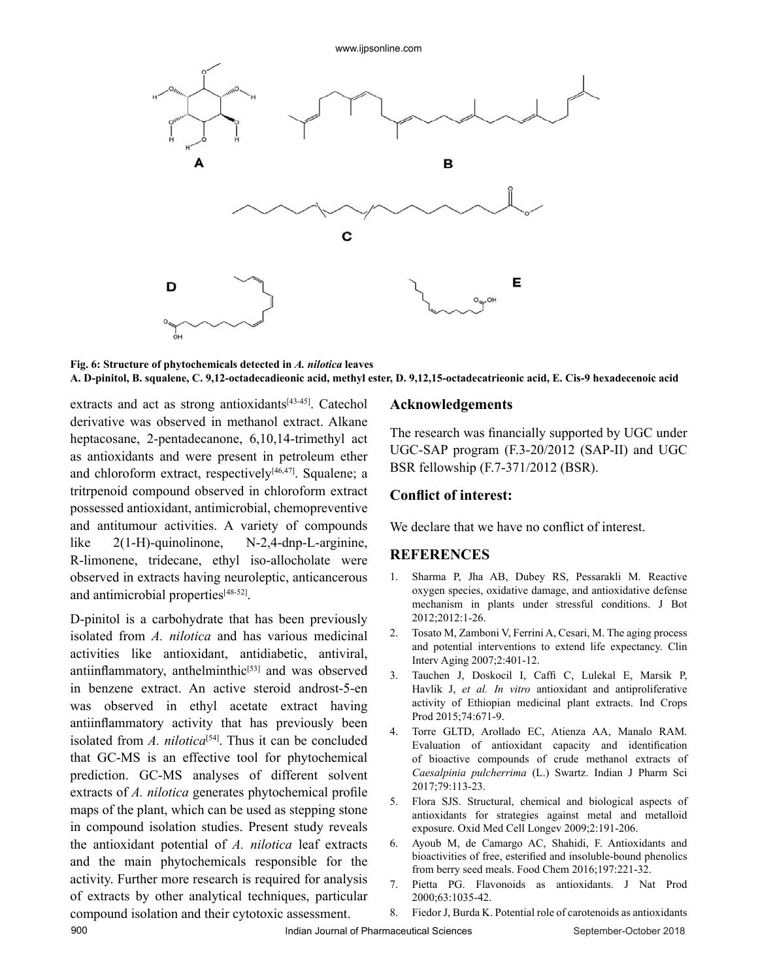

**Fig. 6: Structure of phytochemicals detected in** *A. nilotica* **leaves A. D-pinitol, B. squalene, C. 9,12-octadecadieonic acid, methyl ester, D. 9,12,15-octadecatrieonic acid, E. Cis-9 hexadecenoic acid**

extracts and act as strong antioxidants<sup>[43-45]</sup>. Catechol derivative was observed in methanol extract. Alkane heptacosane, 2-pentadecanone, 6,10,14-trimethyl act as antioxidants and were present in petroleum ether and chloroform extract, respectively $[46,47]$ . Squalene; a tritrpenoid compound observed in chloroform extract possessed antioxidant, antimicrobial, chemopreventive and antitumour activities. A variety of compounds like 2(1-H)-quinolinone, N-2,4-dnp-L-arginine, R-limonene, tridecane, ethyl iso-allocholate were observed in extracts having neuroleptic, anticancerous and antimicrobial properties<sup>[48-52]</sup>.

D-pinitol is a carbohydrate that has been previously isolated from *A. nilotica* and has various medicinal activities like antioxidant, antidiabetic, antiviral, antiinflammatory, anthelminthic $[53]$  and was observed in benzene extract. An active steroid androst-5-en was observed in ethyl acetate extract having antiinflammatory activity that has previously been isolated from  $A$ . *nilotica*<sup>[54]</sup>. Thus it can be concluded that GC-MS is an effective tool for phytochemical prediction. GC-MS analyses of different solvent extracts of *A. nilotica* generates phytochemical profile maps of the plant, which can be used as stepping stone in compound isolation studies. Present study reveals the antioxidant potential of *A. nilotica* leaf extracts and the main phytochemicals responsible for the activity. Further more research is required for analysis of extracts by other analytical techniques, particular compound isolation and their cytotoxic assessment.

## **Acknowledgements**

The research was financially supported by UGC under UGC-SAP program (F.3-20/2012 (SAP-II) and UGC BSR fellowship (F.7-371/2012 (BSR).

## **Conflict of interest:**

We declare that we have no conflict of interest.

## **REFERENCES**

- 1. Sharma P, Jha AB, Dubey RS, Pessarakli M. Reactive oxygen species, oxidative damage, and antioxidative defense mechanism in plants under stressful conditions. J Bot 2012;2012:1-26.
- 2. Tosato M, Zamboni V, Ferrini A, Cesari, M. The aging process and potential interventions to extend life expectancy. Clin Interv Aging 2007;2:401-12.
- 3. Tauchen J, Doskocil I, Caffi C, Lulekal E, Marsik P, Havlik J, *et al. In vitro* antioxidant and antiproliferative activity of Ethiopian medicinal plant extracts. Ind Crops Prod 2015;74:671-9.
- 4. Torre GLTD, Arollado EC, Atienza AA, Manalo RAM. Evaluation of antioxidant capacity and identification of bioactive compounds of crude methanol extracts of *Caesalpinia pulcherrima* (L.) Swartz. Indian J Pharm Sci 2017;79:113-23.
- 5. Flora SJS. Structural, chemical and biological aspects of antioxidants for strategies against metal and metalloid exposure. Oxid Med Cell Longev 2009;2:191-206.
- 6. Ayoub M, de Camargo AC, Shahidi, F. Antioxidants and bioactivities of free, esterified and insoluble-bound phenolics from berry seed meals. Food Chem 2016;197:221-32.
- 7. Pietta PG. Flavonoids as antioxidants. J Nat Prod 2000;63:1035-42.
- 8. Fiedor J, Burda K. Potential role of carotenoids as antioxidants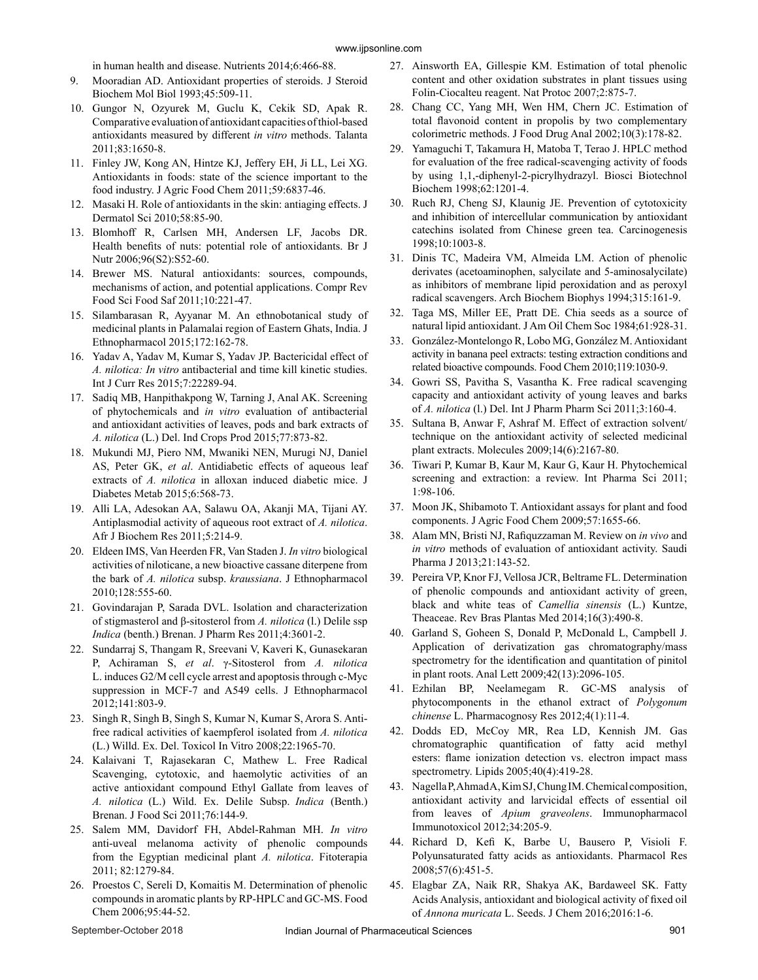in human health and disease. Nutrients 2014;6:466-88.

- 9. Mooradian AD. Antioxidant properties of steroids. J Steroid Biochem Mol Biol 1993;45:509-11.
- 10. Gungor N, Ozyurek M, Guclu K, Cekik SD, Apak R. Comparative evaluation of antioxidant capacities of thiol-based antioxidants measured by different *in vitro* methods. Talanta 2011;83:1650-8.
- 11. Finley JW, Kong AN, Hintze KJ, Jeffery EH, Ji LL, Lei XG. Antioxidants in foods: state of the science important to the food industry. J Agric Food Chem 2011;59:6837-46.
- 12. Masaki H. Role of antioxidants in the skin: antiaging effects. J Dermatol Sci 2010;58:85-90.
- 13. Blomhoff R, Carlsen MH, Andersen LF, Jacobs DR. Health benefits of nuts: potential role of antioxidants. Br J Nutr 2006;96(S2):S52-60.
- 14. Brewer MS. Natural antioxidants: sources, compounds, mechanisms of action, and potential applications. Compr Rev Food Sci Food Saf 2011;10:221-47.
- 15. Silambarasan R, Ayyanar M. An ethnobotanical study of medicinal plants in Palamalai region of Eastern Ghats, India. J Ethnopharmacol 2015;172:162-78.
- 16. Yadav A, Yadav M, Kumar S, Yadav JP. Bactericidal effect of *A. nilotica: In vitro* antibacterial and time kill kinetic studies. Int J Curr Res 2015;7:22289-94.
- 17. Sadiq MB, Hanpithakpong W, Tarning J, Anal AK. Screening of phytochemicals and *in vitro* evaluation of antibacterial and antioxidant activities of leaves, pods and bark extracts of *A. nilotica* (L.) Del. Ind Crops Prod 2015;77:873-82.
- 18. Mukundi MJ, Piero NM, Mwaniki NEN, Murugi NJ, Daniel AS, Peter GK, *et al*. Antidiabetic effects of aqueous leaf extracts of *A. nilotica* in alloxan induced diabetic mice. J Diabetes Metab 2015;6:568-73.
- 19. Alli LA, Adesokan AA, Salawu OA, Akanji MA, Tijani AY. Antiplasmodial activity of aqueous root extract of *A. nilotica*. Afr J Biochem Res 2011;5:214-9.
- 20. Eldeen IMS, Van Heerden FR, Van Staden J. *In vitro* biological activities of niloticane, a new bioactive cassane diterpene from the bark of *A. nilotica* subsp. *kraussiana*. J Ethnopharmacol 2010;128:555-60.
- 21. Govindarajan P, Sarada DVL. Isolation and characterization of stigmasterol and β-sitosterol from *A. nilotica* (l.) Delile ssp *Indica* (benth.) Brenan. J Pharm Res 2011;4:3601-2.
- 22. Sundarraj S, Thangam R, Sreevani V, Kaveri K, Gunasekaran P, Achiraman S, *et al*. γ-Sitosterol from *A. nilotica* L. induces G2/M cell cycle arrest and apoptosis through c-Myc suppression in MCF-7 and A549 cells. J Ethnopharmacol 2012;141:803-9.
- 23. Singh R, Singh B, Singh S, Kumar N, Kumar S, Arora S. Antifree radical activities of kaempferol isolated from *A. nilotica*  (L.) Willd. Ex. Del. Toxicol In Vitro 2008;22:1965-70.
- 24. Kalaivani T, Rajasekaran C, Mathew L. Free Radical Scavenging, cytotoxic, and haemolytic activities of an active antioxidant compound Ethyl Gallate from leaves of *A. nilotica* (L.) Wild. Ex. Delile Subsp. *Indica* (Benth.) Brenan. J Food Sci 2011;76:144-9.
- 25. Salem MM, Davidorf FH, Abdel-Rahman MH. *In vitro*  anti-uveal melanoma activity of phenolic compounds from the Egyptian medicinal plant *A. nilotica*. Fitoterapia 2011; 82:1279-84.
- 26. Proestos C, Sereli D, Komaitis M. Determination of phenolic compounds in aromatic plants by RP-HPLC and GC-MS. Food Chem 2006;95:44-52.
- 27. Ainsworth EA, Gillespie KM. Estimation of total phenolic content and other oxidation substrates in plant tissues using Folin-Ciocalteu reagent. Nat Protoc 2007;2:875-7.
- 28. Chang CC, Yang MH, Wen HM, Chern JC. Estimation of total flavonoid content in propolis by two complementary colorimetric methods. J Food Drug Anal 2002;10(3):178-82.
- 29. Yamaguchi T, Takamura H, Matoba T, Terao J. HPLC method for evaluation of the free radical-scavenging activity of foods by using 1,1,-diphenyl-2-picrylhydrazyl. Biosci Biotechnol Biochem 1998;62:1201-4.
- 30. Ruch RJ, Cheng SJ, Klaunig JE. Prevention of cytotoxicity and inhibition of intercellular communication by antioxidant catechins isolated from Chinese green tea. Carcinogenesis 1998;10:1003-8.
- 31. Dinis TC, Madeira VM, Almeida LM. Action of phenolic derivates (acetoaminophen, salycilate and 5-aminosalycilate) as inhibitors of membrane lipid peroxidation and as peroxyl radical scavengers. Arch Biochem Biophys 1994;315:161-9.
- 32. Taga MS, Miller EE, Pratt DE. Chia seeds as a source of natural lipid antioxidant. J Am Oil Chem Soc 1984;61:928-31.
- 33. González-Montelongo R, Lobo MG, González M. Antioxidant activity in banana peel extracts: testing extraction conditions and related bioactive compounds. Food Chem 2010;119:1030-9.
- 34. Gowri SS, Pavitha S, Vasantha K. Free radical scavenging capacity and antioxidant activity of young leaves and barks of *A. nilotica* (l.) Del. Int J Pharm Pharm Sci 2011;3:160-4.
- 35. Sultana B, Anwar F, Ashraf M. Effect of extraction solvent/ technique on the antioxidant activity of selected medicinal plant extracts. Molecules 2009;14(6):2167-80.
- 36. Tiwari P, Kumar B, Kaur M, Kaur G, Kaur H. Phytochemical screening and extraction: a review. Int Pharma Sci 2011; 1:98-106.
- 37. Moon JK, Shibamoto T. Antioxidant assays for plant and food components. J Agric Food Chem 2009;57:1655-66.
- 38. Alam MN, Bristi NJ, Rafiquzzaman M. Review on *in vivo* and *in vitro* methods of evaluation of antioxidant activity. Saudi Pharma J 2013;21:143-52.
- 39. Pereira VP, Knor FJ, Vellosa JCR, Beltrame FL. Determination of phenolic compounds and antioxidant activity of green, black and white teas of *Camellia sinensis* (L.) Kuntze, Theaceae. Rev Bras Plantas Med 2014;16(3):490-8.
- 40. Garland S, Goheen S, Donald P, McDonald L, Campbell J. Application of derivatization gas chromatography/mass spectrometry for the identification and quantitation of pinitol in plant roots. Anal Lett 2009;42(13):2096-105.
- 41. Ezhilan BP, Neelamegam R. GC-MS analysis of phytocomponents in the ethanol extract of *Polygonum chinense* L. Pharmacognosy Res 2012;4(1):11-4.
- 42. Dodds ED, McCoy MR, Rea LD, Kennish JM. Gas chromatographic quantification of fatty acid methyl esters: flame ionization detection vs. electron impact mass spectrometry. Lipids 2005;40(4):419-28.
- 43. Nagella P, Ahmad A, Kim SJ, Chung IM. Chemical composition, antioxidant activity and larvicidal effects of essential oil from leaves of *Apium graveolens*. Immunopharmacol Immunotoxicol 2012;34:205-9.
- 44. Richard D, Kefi K, Barbe U, Bausero P, Visioli F. Polyunsaturated fatty acids as antioxidants. Pharmacol Res 2008;57(6):451-5.
- 45. Elagbar ZA, Naik RR, Shakya AK, Bardaweel SK. Fatty Acids Analysis, antioxidant and biological activity of fixed oil of *Annona muricata* L. Seeds. J Chem 2016;2016:1-6.